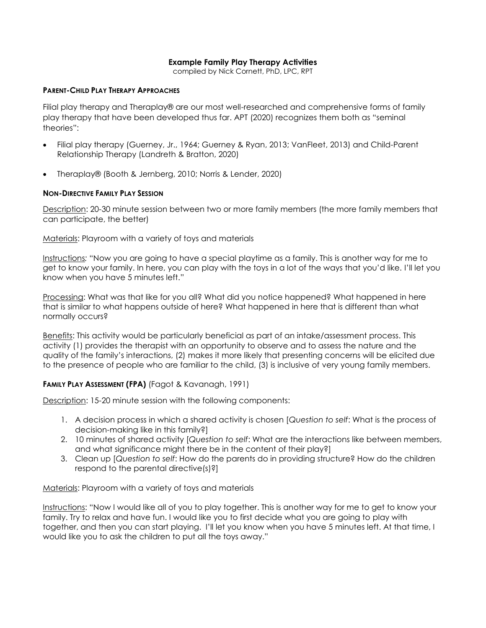### **Example Family Play Therapy Activities**

compiled by Nick Cornett, PhD, LPC, RPT

#### **PARENT-CHILD PLAY THERAPY APPROACHES**

Filial play therapy and Theraplay® are our most well-researched and comprehensive forms of family play therapy that have been developed thus far. APT (2020) recognizes them both as "seminal theories":

- Filial play therapy (Guerney, Jr., 1964; Guerney & Ryan, 2013; VanFleet, 2013) and Child-Parent Relationship Therapy (Landreth & Bratton, 2020)
- Theraplay® (Booth & Jernberg, 2010; Norris & Lender, 2020)

### **NON-DIRECTIVE FAMILY PLAY SESSION**

Description: 20-30 minute session between two or more family members (the more family members that can participate, the better)

Materials: Playroom with a variety of toys and materials

Instructions*:* "Now you are going to have a special playtime as a family. This is another way for me to get to know your family. In here, you can play with the toys in a lot of the ways that you'd like. I'll let you know when you have 5 minutes left."

Processing: What was that like for you all? What did you notice happened? What happened in here that is similar to what happens outside of here? What happened in here that is different than what normally occurs?

Benefits: This activity would be particularly beneficial as part of an intake/assessment process. This activity (1) provides the therapist with an opportunity to observe and to assess the nature and the quality of the family's interactions, (2) makes it more likely that presenting concerns will be elicited due to the presence of people who are familiar to the child, (3) is inclusive of very young family members.

## **FAMILY PLAY ASSESSMENT (FPA)** (Fagot & Kavanagh, 1991)

Description: 15-20 minute session with the following components:

- 1. A decision process in which a shared activity is chosen [*Question to self*: What is the process of decision-making like in this family?]
- 2. 10 minutes of shared activity [*Question to self*: What are the interactions like between members, and what significance might there be in the content of their play?]
- 3. Clean up [*Question to self*: How do the parents do in providing structure? How do the children respond to the parental directive(s)?]

#### Materials: Playroom with a variety of toys and materials

Instructions: "Now I would like all of you to play together. This is another way for me to get to know your family. Try to relax and have fun. I would like you to first decide what you are going to play with together, and then you can start playing. I'll let you know when you have 5 minutes left. At that time, I would like you to ask the children to put all the toys away."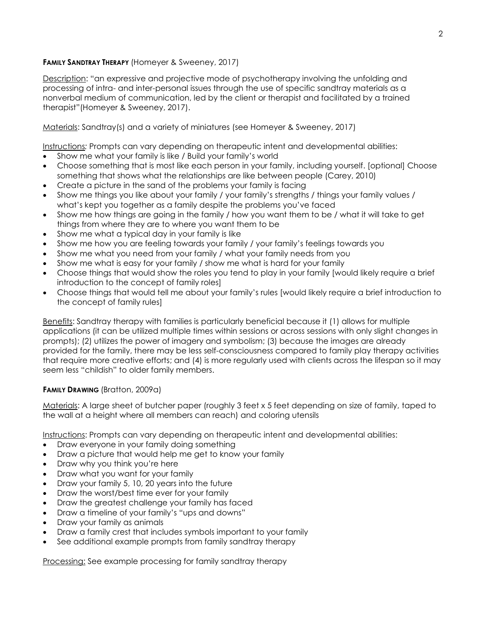## **FAMILY SANDTRAY THERAPY** (Homeyer & Sweeney, 2017)

Description: "an expressive and projective mode of psychotherapy involving the unfolding and processing of intra- and inter-personal issues through the use of specific sandtray materials as a nonverbal medium of communication, led by the client or therapist and facilitated by a trained therapist"(Homeyer & Sweeney, 2017).

Materials: Sandtray(s) and a variety of miniatures (see Homeyer & Sweeney, 2017)

Instructions*:* Prompts can vary depending on therapeutic intent and developmental abilities:

- Show me what your family is like / Build your family's world
- Choose something that is most like each person in your family, including yourself. [optional] Choose something that shows what the relationships are like between people (Carey, 2010)
- Create a picture in the sand of the problems your family is facing
- Show me things you like about your family / your family's strengths / things your family values / what's kept you together as a family despite the problems you've faced
- Show me how things are going in the family / how you want them to be / what it will take to get things from where they are to where you want them to be
- Show me what a typical day in your family is like
- Show me how you are feeling towards your family / your family's feelings towards you
- Show me what you need from your family / what your family needs from you
- Show me what is easy for your family / show me what is hard for your family
- Choose things that would show the roles you tend to play in your family [would likely require a brief introduction to the concept of family roles]
- Choose things that would tell me about your family's rules [would likely require a brief introduction to the concept of family rules]

Benefits: Sandtray therapy with families is particularly beneficial because it (1) allows for multiple applications (it can be utilized multiple times within sessions or across sessions with only slight changes in prompts); (2) utilizes the power of imagery and symbolism; (3) because the images are already provided for the family, there may be less self-consciousness compared to family play therapy activities that require more creative efforts; and (4) is more regularly used with clients across the lifespan so it may seem less "childish" to older family members.

## **FAMILY DRAWING** (Bratton, 2009a)

Materials: A large sheet of butcher paper (roughly 3 feet x 5 feet depending on size of family, taped to the wall at a height where all members can reach) and coloring utensils

Instructions: Prompts can vary depending on therapeutic intent and developmental abilities:

- Draw everyone in your family doing something
- Draw a picture that would help me get to know your family
- Draw why you think you're here
- Draw what you want for your family
- Draw your family 5, 10, 20 years into the future
- Draw the worst/best time ever for your family
- Draw the greatest challenge your family has faced
- Draw a timeline of your family's "ups and downs"
- Draw your family as animals
- Draw a family crest that includes symbols important to your family
- See additional example prompts from family sandtray therapy

Processing: See example processing for family sandtray therapy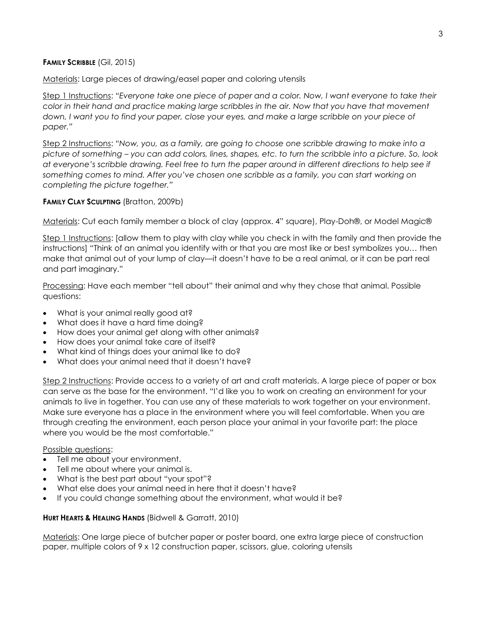### **FAMILY SCRIBBLE** (Gil, 2015)

Materials: Large pieces of drawing/easel paper and coloring utensils

Step 1 Instructions: *"Everyone take one piece of paper and a color. Now, I want everyone to take their color in their hand and practice making large scribbles in the air. Now that you have that movement down, I want you to find your paper, close your eyes, and make a large scribble on your piece of paper."*

Step 2 Instructions: *"Now, you, as a family, are going to choose one scribble drawing to make into a picture of something – you can add colors, lines, shapes, etc. to turn the scribble into a picture. So, look at everyone's scribble drawing. Feel free to turn the paper around in different directions to help see if something comes to mind. After you've chosen one scribble as a family, you can start working on completing the picture together."* 

## **FAMILY CLAY SCULPTING** (Bratton, 2009b)

Materials: Cut each family member a block of clay (approx. 4" square), Play-Doh®, or Model Magic®

Step 1 Instructions: [allow them to play with clay while you check in with the family and then provide the instructions] "Think of an animal you identify with or that you are most like or best symbolizes you… then make that animal out of your lump of clay—it doesn't have to be a real animal, or it can be part real and part imaginary."

Processing: Have each member "tell about" their animal and why they chose that animal. Possible questions:

- What is your animal really good at?
- What does it have a hard time doing?
- How does your animal get along with other animals?
- How does your animal take care of itself?
- What kind of things does your animal like to do?
- What does your animal need that it doesn't have?

Step 2 Instructions: Provide access to a variety of art and craft materials. A large piece of paper or box can serve as the base for the environment. "I'd like you to work on creating an environment for your animals to live in together. You can use any of these materials to work together on your environment. Make sure everyone has a place in the environment where you will feel comfortable. When you are through creating the environment, each person place your animal in your favorite part: the place where you would be the most comfortable."

#### Possible questions:

- Tell me about your environment.
- Tell me about where your animal is.
- What is the best part about "your spot"?
- What else does your animal need in here that it doesn't have?
- If you could change something about the environment, what would it be?

#### **HURT HEARTS & HEALING HANDS** (Bidwell & Garratt, 2010)

Materials: One large piece of butcher paper or poster board, one extra large piece of construction paper, multiple colors of 9 x 12 construction paper, scissors, glue, coloring utensils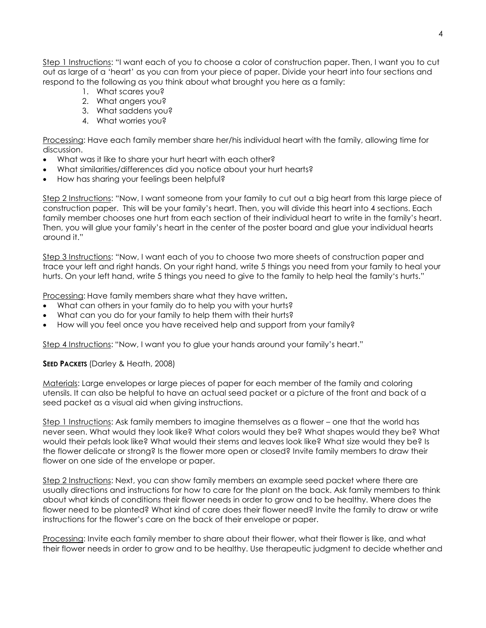Step 1 Instructions: "I want each of you to choose a color of construction paper. Then, I want you to cut out as large of a 'heart' as you can from your piece of paper. Divide your heart into four sections and respond to the following as you think about what brought you here as a family:

- 1. What scares you?
- 2. What angers you?
- 3. What saddens you?
- 4. What worries you?

Processing: Have each family member share her/his individual heart with the family, allowing time for discussion.

- What was it like to share your hurt heart with each other?
- What similarities/differences did you notice about your hurt hearts?
- How has sharing your feelings been helpful?

Step 2 Instructions: "Now, I want someone from your family to cut out a big heart from this large piece of construction paper. This will be your family's heart. Then, you will divide this heart into 4 sections. Each family member chooses one hurt from each section of their individual heart to write in the family's heart. Then, you will glue your family's heart in the center of the poster board and glue your individual hearts around it."

Step 3 Instructions: "Now, I want each of you to choose two more sheets of construction paper and trace your left and right hands. On your right hand, write 5 things you need from your family to heal your hurts. On your left hand, write 5 things you need to give to the family to help heal the family's hurts."

Processing: Have family members share what they have written**.**

- What can others in your family do to help you with your hurts?
- What can you do for your family to help them with their hurts?
- How will you feel once you have received help and support from your family?

Step 4 Instructions: "Now, I want you to glue your hands around your family's heart."

## **SEED PACKETS** (Darley & Heath, 2008)

Materials: Large envelopes or large pieces of paper for each member of the family and coloring utensils. It can also be helpful to have an actual seed packet or a picture of the front and back of a seed packet as a visual aid when giving instructions.

Step 1 Instructions: Ask family members to imagine themselves as a flower – one that the world has never seen. What would they look like? What colors would they be? What shapes would they be? What would their petals look like? What would their stems and leaves look like? What size would they be? Is the flower delicate or strong? Is the flower more open or closed? Invite family members to draw their flower on one side of the envelope or paper.

Step 2 Instructions: Next, you can show family members an example seed packet where there are usually directions and instructions for how to care for the plant on the back. Ask family members to think about what kinds of conditions their flower needs in order to grow and to be healthy. Where does the flower need to be planted? What kind of care does their flower need? Invite the family to draw or write instructions for the flower's care on the back of their envelope or paper.

Processing: Invite each family member to share about their flower, what their flower is like, and what their flower needs in order to grow and to be healthy. Use therapeutic judgment to decide whether and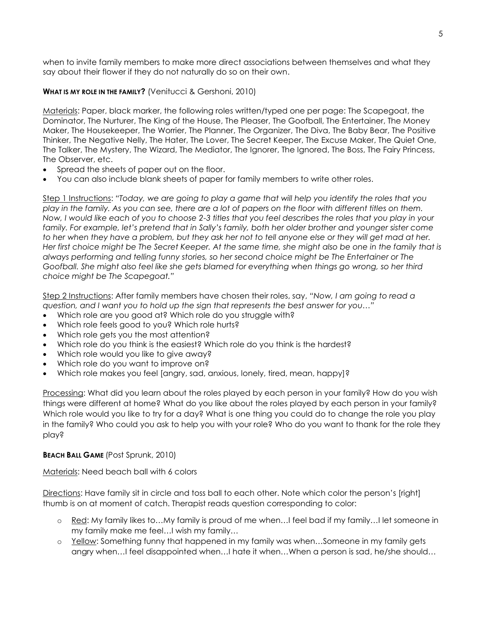when to invite family members to make more direct associations between themselves and what they say about their flower if they do not naturally do so on their own.

# **WHAT IS MY ROLE IN THE FAMILY?** (Venitucci & Gershoni, 2010)

Materials: Paper, black marker, the following roles written/typed one per page: The Scapegoat, the Dominator, The Nurturer, The King of the House, The Pleaser, The Goofball, The Entertainer, The Money Maker, The Housekeeper, The Worrier, The Planner, The Organizer, The Diva, The Baby Bear, The Positive Thinker, The Negative Nelly, The Hater, The Lover, The Secret Keeper, The Excuse Maker, The Quiet One, The Talker, The Mystery, The Wizard, The Mediator, The Ignorer, The Ignored, The Boss, The Fairy Princess, The Observer, etc.

- Spread the sheets of paper out on the floor.
- You can also include blank sheets of paper for family members to write other roles.

Step 1 Instructions: *"Today, we are going to play a game that will help you identify the roles that you play in the family. As you can see, there are a lot of papers on the floor with different titles on them. Now, I would like each of you to choose 2-3 titles that you feel describes the roles that you play in your family. For example, let's pretend that in Sally's family, both her older brother and younger sister come to her when they have a problem, but they ask her not to tell anyone else or they will get mad at her. Her first choice might be The Secret Keeper. At the same time, she might also be one in the family that is always performing and telling funny stories, so her second choice might be The Entertainer or The Goofball. She might also feel like she gets blamed for everything when things go wrong, so her third choice might be The Scapegoat."*

Step 2 Instructions: After family members have chosen their roles, say, *"Now, I am going to read a question, and I want you to hold up the sign that represents the best answer for you…"* 

- Which role are you good at? Which role do you struggle with?
- Which role feels good to you? Which role hurts?
- Which role gets you the most attention?
- Which role do you think is the easiest? Which role do you think is the hardest?
- Which role would you like to give away?
- Which role do you want to improve on?
- Which role makes you feel [angry, sad, anxious, lonely, tired, mean, happy]?

Processing: What did you learn about the roles played by each person in your family? How do you wish things were different at home? What do you like about the roles played by each person in your family? Which role would you like to try for a day? What is one thing you could do to change the role you play in the family? Who could you ask to help you with your role? Who do you want to thank for the role they play?

## **BEACH BALL GAME** (Post Sprunk, 2010)

Materials: Need beach ball with 6 colors

Directions: Have family sit in circle and toss ball to each other. Note which color the person's [right] thumb is on at moment of catch. Therapist reads question corresponding to color:

- o Red: My family likes to…My family is proud of me when…I feel bad if my family…I let someone in my family make me feel…I wish my family…
- o Yellow: Something funny that happened in my family was when…Someone in my family gets angry when…I feel disappointed when…I hate it when…When a person is sad, he/she should…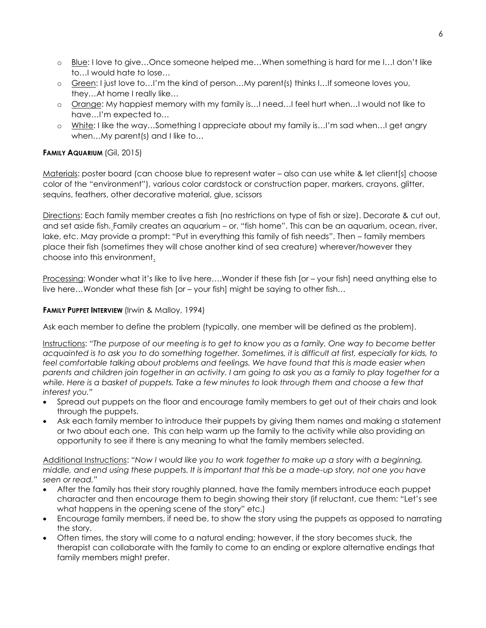- o Blue: I love to give…Once someone helped me…When something is hard for me I…I don't like to…I would hate to lose…
- o Green: I just love to…I'm the kind of person…My parent(s) thinks I…If someone loves you, they…At home I really like…
- o Orange: My happiest memory with my family is…I need…I feel hurt when…I would not like to have…I'm expected to…
- o White: I like the way...Something I appreciate about my family is...I'm sad when...I get angry when...My parent(s) and I like to...

# **FAMILY AQUARIUM** (Gil, 2015)

Materials: poster board (can choose blue to represent water – also can use white & let client[s] choose color of the "environment"), various color cardstock or construction paper, markers, crayons, glitter, sequins, feathers, other decorative material, glue, scissors

Directions: Each family member creates a fish (no restrictions on type of fish or size). Decorate & cut out, and set aside fish. Family creates an aquarium – or, "fish home". This can be an aquarium, ocean, river, lake, etc. May provide a prompt: "Put in everything this family of fish needs". Then – family members place their fish (sometimes they will chose another kind of sea creature) wherever/however they choose into this environment.

Processing: Wonder what it's like to live here….Wonder if these fish [or – your fish] need anything else to live here…Wonder what these fish [or – your fish] might be saying to other fish…

## **FAMILY PUPPET INTERVIEW (Irwin & Malloy, 1994)**

Ask each member to define the problem (typically, one member will be defined as the problem).

Instructions: *"The purpose of our meeting is to get to know you as a family. One way to become better acquainted is to ask you to do something together. Sometimes, it is difficult at first, especially for kids, to*  feel comfortable talking about problems and feelings. We have found that this is made easier when *parents and children join together in an activity. I am going to ask you as a family to play together for a while. Here is a basket of puppets. Take a few minutes to look through them and choose a few that interest you."* 

- Spread out puppets on the floor and encourage family members to get out of their chairs and look through the puppets.
- Ask each family member to introduce their puppets by giving them names and making a statement or two about each one. This can help warm up the family to the activity while also providing an opportunity to see if there is any meaning to what the family members selected.

Additional Instructions: *"Now I would like you to work together to make up a story with a beginning, middle, and end using these puppets. It is important that this be a made-up story, not one you have seen or read."*

- After the family has their story roughly planned, have the family members introduce each puppet character and then encourage them to begin showing their story (if reluctant, cue them: "Let's see what happens in the opening scene of the story" etc.)
- Encourage family members, if need be, to show the story using the puppets as opposed to narrating the story.
- Often times, the story will come to a natural ending; however, if the story becomes stuck, the therapist can collaborate with the family to come to an ending or explore alternative endings that family members might prefer.